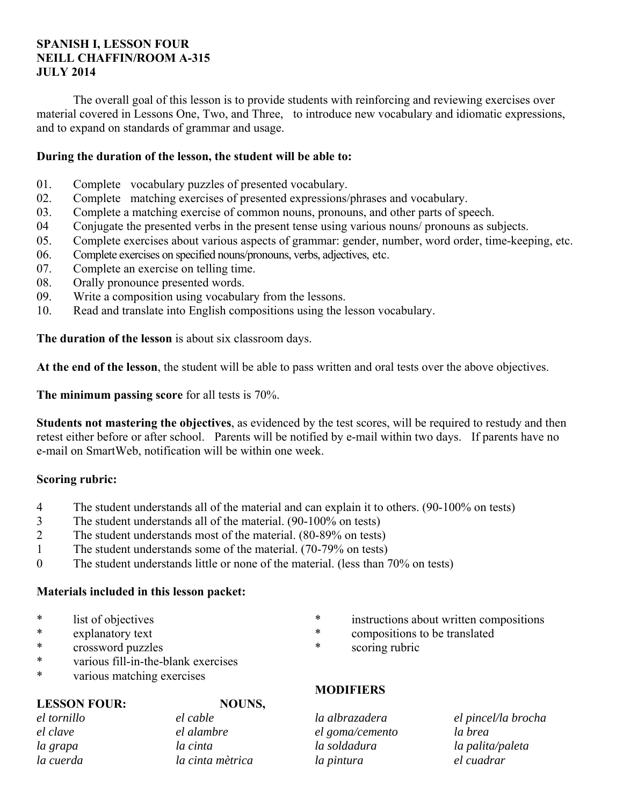# **SPANISH I, LESSON FOUR NEILL CHAFFIN/ROOM A-315 JULY 2014**

 The overall goal of this lesson is to provide students with reinforcing and reviewing exercises over material covered in Lessons One, Two, and Three, to introduce new vocabulary and idiomatic expressions, and to expand on standards of grammar and usage.

# **During the duration of the lesson, the student will be able to:**

- 01. Complete vocabulary puzzles of presented vocabulary.
- 02. Complete matching exercises of presented expressions/phrases and vocabulary.
- 03. Complete a matching exercise of common nouns, pronouns, and other parts of speech.
- 04 Conjugate the presented verbs in the present tense using various nouns/ pronouns as subjects.
- 05. Complete exercises about various aspects of grammar: gender, number, word order, time-keeping, etc.
- 06. Complete exercises on specified nouns/pronouns, verbs, adjectives, etc.
- 07. Complete an exercise on telling time.
- 08. Orally pronounce presented words.
- 09. Write a composition using vocabulary from the lessons.
- 10. Read and translate into English compositions using the lesson vocabulary.

**The duration of the lesson** is about six classroom days.

**At the end of the lesson**, the student will be able to pass written and oral tests over the above objectives.

**The minimum passing score** for all tests is 70%.

**Students not mastering the objectives**, as evidenced by the test scores, will be required to restudy and then retest either before or after school. Parents will be notified by e-mail within two days. If parents have no e-mail on SmartWeb, notification will be within one week.

# **Scoring rubric:**

- 4 The student understands all of the material and can explain it to others. (90-100% on tests)
- 3 The student understands all of the material. (90-100% on tests)
- 2 The student understands most of the material. (80-89% on tests)
- 1 The student understands some of the material. (70-79% on tests)
- 0 The student understands little or none of the material. (less than 70% on tests)

# **Materials included in this lesson packet:**

- \* list of objectives
- explanatory text
- \* crossword puzzles
- \* various fill-in-the-blank exercises
- \* various matching exercises

# **LESSON FOUR: NOUNS,**

*el tornillo el clave la grapa la cuerda* 

*el cable el alambre la cinta la cinta mètrica* 

# \* instructions about written compositions

- compositions to be translated
- \* scoring rubric

# **MODIFIERS**

*la albrazadera el goma/cemento la soldadura la pintura* 

*el pincel/la brocha la brea la palita/paleta el cuadrar*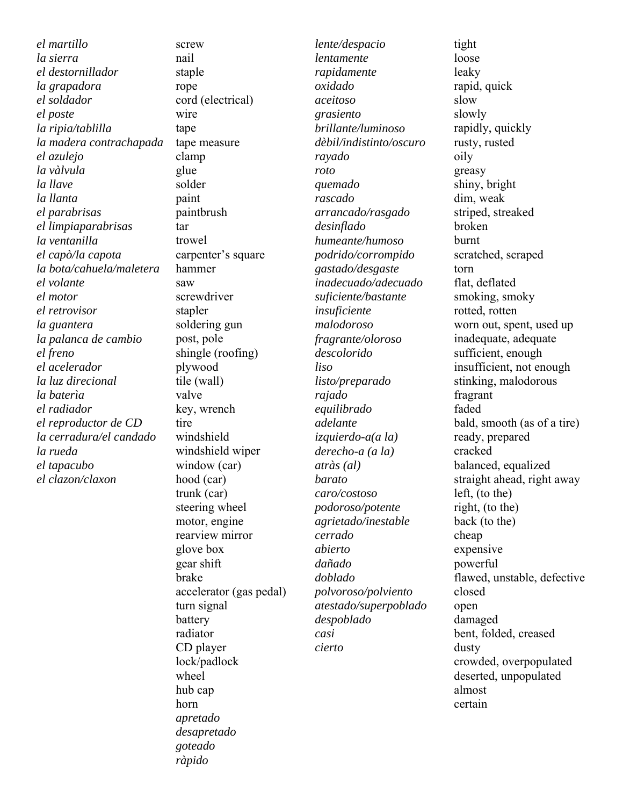*el martillo la sierra el destornillador la grapadora el soldador el poste la ripia/tablilla la madera contrachapada el azulejo la vàlvula la llave la llanta el parabrisas el limpiaparabrisas la ventanilla el capò/la capota la bota/cahuela/maletera el volante el motor el retrovisor la guantera la palanca de cambio el freno el acelerador la luz direcional la baterìa el radiador el reproductor de CD la cerradura/el candado la rueda el tapacubo el clazon/claxon*

screw nail staple rope cord (electrical) wire tape tape measure clamp glue solder paint paintbrush tar trowel carpenter's square hammer saw screwdriver stapler soldering gun post, pole shingle (roofing) plywood tile (wall) valve key, wrench tire windshield windshield wiper window (car) hood (car) trunk (car) steering wheel motor, engine rearview mirror glove box gear shift brake accelerator (gas pedal) turn signal battery radiator CD player lock/padlock wheel hub cap horn *apretado desapretado goteado ràpido* 

*lente/despacio lentamente rapidamente oxidado aceitoso grasiento brillante/luminoso dèbil/indistinto/oscuro rayado roto quemado rascado arrancado/rasgado desinflado humeante/humoso podrido/corrompido gastado/desgaste inadecuado/adecuado suficiente/bastante insuficiente malodoroso fragrante/oloroso descolorido liso listo/preparado rajado equilibrado adelante izquierdo-a(a la) derecho-a (a la) atràs (al) barato caro/costoso podoroso/potente agrietado/inestable cerrado abierto dañado doblado polvoroso/polviento atestado/superpoblado despoblado casi cierto*

tight loose leaky rapid, quick slow slowly rapidly, quickly rusty, rusted oily greasy shiny, bright dim, weak striped, streaked broken burnt scratched, scraped torn flat, deflated smoking, smoky rotted, rotten worn out, spent, used up inadequate, adequate sufficient, enough insufficient, not enough stinking, malodorous fragrant faded bald, smooth (as of a tire) ready, prepared cracked balanced, equalized straight ahead, right away left, (to the) right, (to the) back (to the) cheap expensive powerful flawed, unstable, defective closed open damaged bent, folded, creased dusty crowded, overpopulated deserted, unpopulated almost certain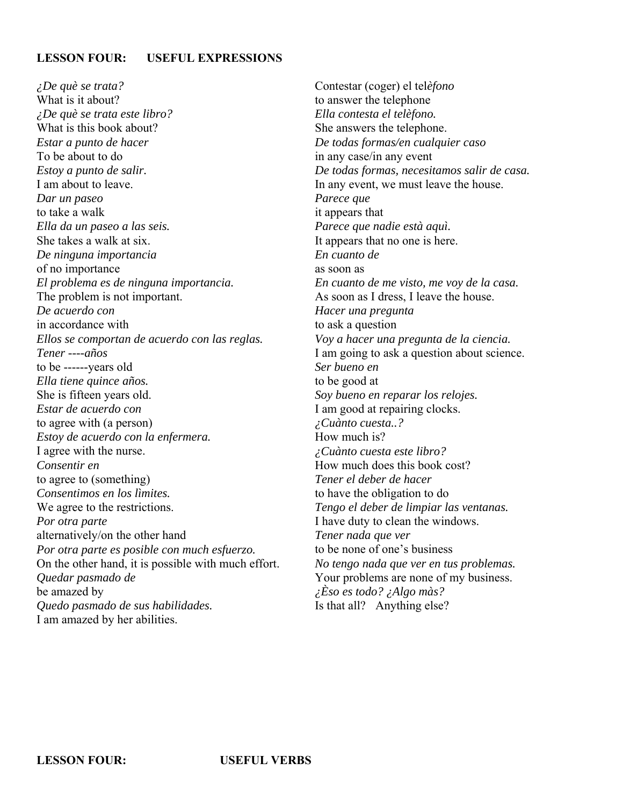# **LESSON FOUR: USEFUL EXPRESSIONS**

*¿De què se trata?* What is it about? *¿De què se trata este libro?* What is this book about? *Estar a punto de hacer* To be about to do *Estoy a punto de salir.* I am about to leave. *Dar un paseo* to take a walk *Ella da un paseo a las seis.* She takes a walk at six. *De ninguna importancia* of no importance *El problema es de ninguna importancia.* The problem is not important. *De acuerdo con* in accordance with *Ellos se comportan de acuerdo con las reglas. Tener ----años* to be ------years old *Ella tiene quince años.* She is fifteen years old. *Estar de acuerdo con* to agree with (a person) *Estoy de acuerdo con la enfermera.* I agree with the nurse. *Consentir en* to agree to (something) *Consentimos en los lìmites.* We agree to the restrictions. *Por otra parte*  alternatively/on the other hand *Por otra parte es posible con much esfuerzo.* On the other hand, it is possible with much effort. *Quedar pasmado de* be amazed by *Quedo pasmado de sus habilidades.* I am amazed by her abilities.

Contestar (coger) el tel*èfono* to answer the telephone *Ella contesta el telèfono.* She answers the telephone. *De todas formas/en cualquier caso* in any case/in any event *De todas formas, necesitamos salir de casa.* In any event, we must leave the house. *Parece que* it appears that *Parece que nadie està aquì.* It appears that no one is here. *En cuanto de* as soon as *En cuanto de me visto, me voy de la casa.* As soon as I dress, I leave the house. *Hacer una pregunta* to ask a question *Voy a hacer una pregunta de la ciencia.* I am going to ask a question about science. *Ser bueno en*  to be good at *Soy bueno en reparar los relojes.* I am good at repairing clocks. *¿Cuànto cuesta..?* How much is? *¿Cuànto cuesta este libro?* How much does this book cost? *Tener el deber de hacer* to have the obligation to do *Tengo el deber de limpiar las ventanas.* I have duty to clean the windows. *Tener nada que ver* to be none of one's business *No tengo nada que ver en tus problemas.* Your problems are none of my business. *¿Èso es todo? ¿Algo màs?* Is that all? Anything else?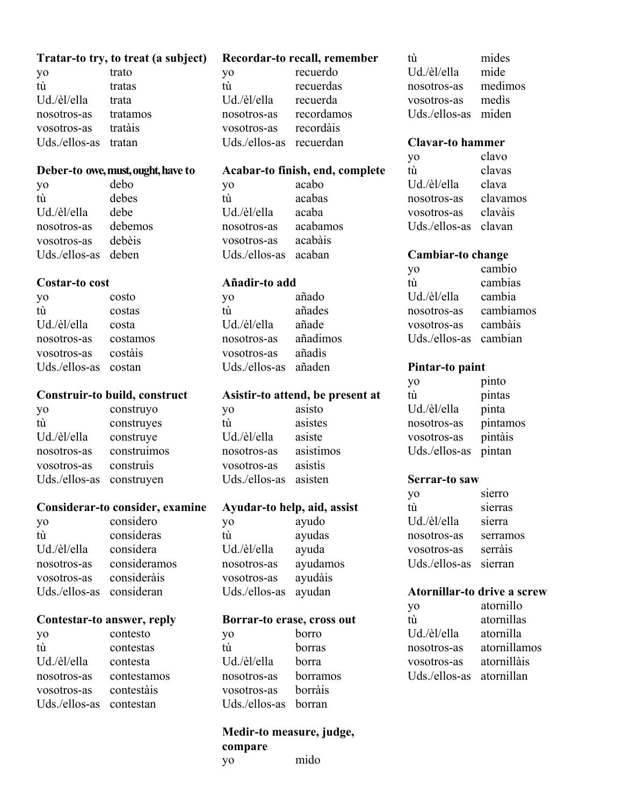#### **Tratar-to try, to treat (a subject)**

yo trato tù tratas Ud./èl/ella trata nosotros-as tratamos vosotros-as tratàis Uds./ellos-as tratan

#### **Deber-to owe, must, ought, have to**

yo debo tù debes Ud./èl/ella debe nosotros-as debemos vosotros-as debèis Uds./ellos-as deben

#### **Costar-to cost**

yo costo tù costas Ud./èl/ella costa nosotros-as costamos vosotros-as costàis Uds./ellos-as costan

#### **Construir-to build, construct**

yo construyo tù construyes Ud./èl/ella construye nosotros-as construimos vosotros-as construìs Uds./ellos-as construyen

### **Considerar-to consider, examine**

yo considero tù consideras Ud./èl/ella considera nosotros-as consideramos vosotros-as consideràis Uds./ellos-as consideran

#### **Contestar-to answer, reply**

| yo            | contesto    |
|---------------|-------------|
| tù            | contestas   |
| Ud./èl/ella   | contesta    |
| nosotros-as   | contestamos |
| vosotros-as   | contestàis  |
| Uds./ellos-as | contestan   |

#### **Recordar-to recall, remember**

yo recuerdo tù recuerdas Ud./èl/ella recuerda nosotros-as recordamos vosotros-as recordàis Uds./ellos-as recuerdan

#### **Acabar-to finish, end, complete**

yo acabo tù acabas Ud./èl/ella acaba nosotros-as acabamos vosotros-as acabàis Uds./ellos-as acaban

### **Añadir-to add**

yo añado tù añades Ud./èl/ella añade nosotros-as añadimos vosotros-as añadìs Uds./ellos-as añaden

#### **Asistir-to attend, be present at**

yo asisto tù asistes Ud./èl/ella asiste nosotros-as asistimos vosotros-as asistìs Uds./ellos-as asisten

#### **Ayudar-to help, aid, assist**

yo ayudo tù ayudas Ud./èl/ella ayuda nosotros-as ayudamos vosotros-as ayudàis Uds./ellos-as ayudan

#### **Borrar-to erase, cross out**

| yo                   | borro    |
|----------------------|----------|
| tù                   | borras   |
| Ud./èl/ella          | borra    |
| nosotros-as          | borramos |
| vosotros-as          | borràis  |
| Uds./ellos-as borran |          |

# **Medir-to measure, judge, compare**

yo mido

tù mides Ud./èl/ella mide nosotros-as medimos vosotros-as medìs Uds./ellos-as miden

#### **Clavar-to hammer**

yo clavo tù clavas Ud./èl/ella clava nosotros-as clavamos vosotros-as clavàis Uds./ellos-as clavan

#### **Cambiar-to change**

| yo            | cambio    |
|---------------|-----------|
| tù            | cambias   |
| Ud./èl/ella   | cambia    |
| nosotros-as   | cambiamos |
| vosotros-as   | cambàis   |
| Uds./ellos-as | cambian   |

#### **Pintar-to paint**

yo pinto tù pintas Ud./èl/ella pinta nosotros-as pintamos vosotros-as pintàis Uds./ellos-as pintan

#### **Serrar-to saw**

| yo            | sierro   |
|---------------|----------|
| tù            | sierras  |
| Ud./èl/ella   | sierra   |
| nosotros-as   | serramos |
| vosotros-as   | serràis  |
| Uds./ellos-as | sierran  |

#### **Atornillar-to drive a screw**

| yo            | atornillo    |
|---------------|--------------|
| tù            | atornillas   |
| Ud./èl/ella   | atornilla    |
| nosotros-as   | atornillamos |
| vosotros-as   | atornillàis  |
| Uds./ellos-as | atornillan   |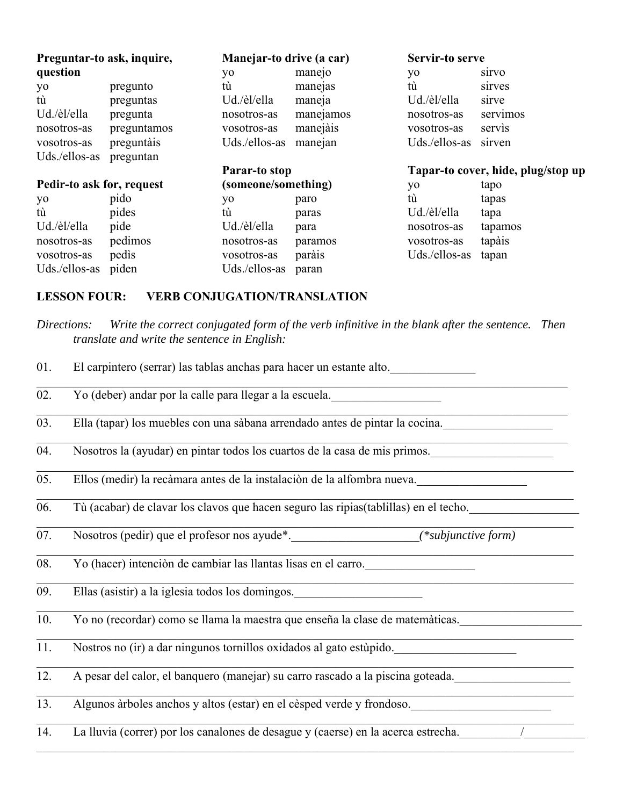| Preguntar-to ask, inquire, |             | Manejar-to drive (a car) |           | Servir-to serve                    |              |  |
|----------------------------|-------------|--------------------------|-----------|------------------------------------|--------------|--|
| question                   |             | yo                       | manejo    | yo                                 | <b>S1TVO</b> |  |
| yo                         | pregunto    | tù                       | manejas   | tù                                 | sirves       |  |
| tù                         | preguntas   | Ud./èl/ella              | maneja    | Ud./èl/ella                        | sirve        |  |
| Ud./èl/ella                | pregunta    | nosotros-as              | manejamos | nosotros-as                        | servimos     |  |
| nosotros-as                | preguntamos | vosotros-as              | manejàis  | vosotros-as                        | servis       |  |
| vosotros-as                | preguntàis  | Uds./ellos-as            | manejan   | Uds./ellos-as                      | sirven       |  |
| Uds./ellos-as              | preguntan   |                          |           |                                    |              |  |
|                            |             | Parar-to stop            |           | Tapar-to cover, hide, plug/stop up |              |  |
| Pedir-to ask for, request  |             | (someone/something)      |           | yo                                 | tapo         |  |
| yo                         | pido        | yo                       | paro      | tù                                 | tapas        |  |
| tù                         | pides       | tù                       |           | Ud./èl/ella                        | tapa         |  |
|                            |             |                          | paras     |                                    |              |  |
| Ud./èl/ella                | pide        | Ud./èl/ella              | para      | nosotros-as                        | tapamos      |  |
| nosotros-as                | pedimos     | nosotros-as              | paramos   | vosotros-as                        | tapàis       |  |
| vosotros-as                | pedis       | vosotros-as              | paràis    | Uds./ellos-as                      | tapan        |  |

# **LESSON FOUR: VERB CONJUGATION/TRANSLATION**

| 01. | El carpintero (serrar) las tablas anchas para hacer un estante alto.                 |  |  |  |  |  |  |
|-----|--------------------------------------------------------------------------------------|--|--|--|--|--|--|
| 02. | Yo (deber) andar por la calle para llegar a la escuela.                              |  |  |  |  |  |  |
| 03. | Ella (tapar) los muebles con una sàbana arrendado antes de pintar la cocina.         |  |  |  |  |  |  |
| 04. | Nosotros la (ayudar) en pintar todos los cuartos de la casa de mis primos.           |  |  |  |  |  |  |
| 05. | Ellos (medir) la recàmara antes de la instalación de la alfombra nueva.              |  |  |  |  |  |  |
| 06. | Tù (acabar) de clavar los clavos que hacen seguro las ripias(tablillas) en el techo. |  |  |  |  |  |  |
| 07. |                                                                                      |  |  |  |  |  |  |
| 08. | Yo (hacer) intenciòn de cambiar las llantas lisas en el carro.                       |  |  |  |  |  |  |
| 09. | Ellas (asistir) a la iglesia todos los domingos.                                     |  |  |  |  |  |  |
| 10. | Yo no (recordar) como se llama la maestra que enseña la clase de matemàticas.        |  |  |  |  |  |  |
| 11. | Nostros no (ir) a dar ningunos tornillos oxidados al gato estùpido.                  |  |  |  |  |  |  |
| 12. | A pesar del calor, el banquero (manejar) su carro rascado a la piscina goteada.      |  |  |  |  |  |  |
| 13. | Algunos àrboles anchos y altos (estar) en el cèsped verde y frondoso.                |  |  |  |  |  |  |
| 14. | La lluvia (correr) por los canalones de desague y (caerse) en la acerca estrecha.    |  |  |  |  |  |  |

*Directions: Write the correct conjugated form of the verb infinitive in the blank after the sentence. Then translate and write the sentence in English:*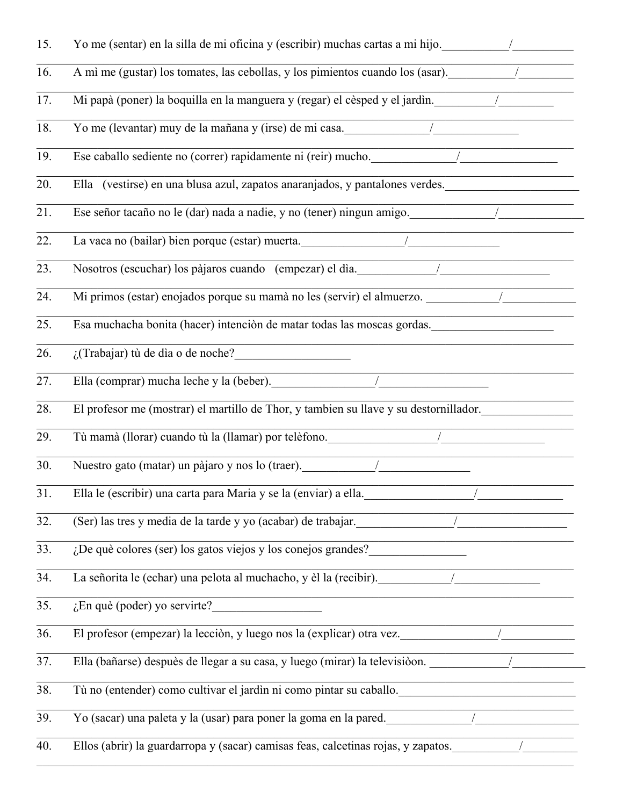| 15.               | Yo me (sentar) en la silla de mi oficina y (escribir) muchas cartas a mi hijo.                                                                                                              |
|-------------------|---------------------------------------------------------------------------------------------------------------------------------------------------------------------------------------------|
| 16.               | A mì me (gustar) los tomates, las cebollas, y los pimientos cuando los (asar).                                                                                                              |
| 17.               | Mi papà (poner) la boquilla en la manguera y (regar) el cèsped y el jardìn.                                                                                                                 |
| 18.               | Yo me (levantar) muy de la mañana y (irse) de mi casa.<br><u>Vo me (levantar) muy de la mañana y</u> (irse) de mi casa.                                                                     |
| 19.               | Ese caballo sediente no (correr) rapidamente ni (reir) mucho.<br><u>/</u>                                                                                                                   |
| 20.               | Ella (vestirse) en una blusa azul, zapatos anaranjados, y pantalones verdes.                                                                                                                |
| 21.               | Ese señor tacaño no le (dar) nada a nadie, y no (tener) ningun amigo.                                                                                                                       |
| 22.               |                                                                                                                                                                                             |
| 23.               | Nosotros (escuchar) los pàjaros cuando (empezar) el dia.                                                                                                                                    |
| 24.               | Mi primos (estar) enojados porque su mamà no les (servir) el almuerzo.                                                                                                                      |
| 25.               | Esa muchacha bonita (hacer) intenciòn de matar todas las moscas gordas.                                                                                                                     |
| 26.               |                                                                                                                                                                                             |
| 27.               | Ella (comprar) mucha leche y la (beber).                                                                                                                                                    |
| 28.               | El profesor me (mostrar) el martillo de Thor, y tambien su llave y su destornillador.                                                                                                       |
| 29.               | Tù mamà (llorar) cuando tù la (llamar) por telèfono.                                                                                                                                        |
| 30.               | $\begin{tabular}{ c c c c } \hline \quad \quad & \quad \quad & \quad \quad & \quad \quad \\ \hline \end{tabular}$<br>Nuestro gato (matar) un pàjaro y nos lo (traer).                       |
| $\overline{31}$ . | Ella le (escribir) una carta para Maria y se la (enviar) a ella.                                                                                                                            |
| 32.               | (Ser) las tres y media de la tarde y yo (acabar) de trabajar.                                                                                                                               |
| 33.               | $\overline{R}$ . De què colores (ser) los gatos viejos y los conejos grandes?                                                                                                               |
| 34.               | La señorita le (echar) una pelota al muchacho, y èl la (recibir).                                                                                                                           |
| 35.               | $\sqrt{E}$ n què (poder) yo servirte?                                                                                                                                                       |
| 36.               | El profesor (empezar) la lección, y luego nos la (explicar) otra vez.                                                                                                                       |
| 37.               | Ella (bañarse) despuès de llegar a su casa, y luego (mirar) la televisióon.                                                                                                                 |
| 38.               | Tù no (entender) como cultivar el jardin ni como pintar su caballo.                                                                                                                         |
| 39.               | <u> 1989 - Johann John Stein, markin f</u><br>Yo (sacar) una paleta y la (usar) para poner la goma en la pared.<br><u>Vo (sacar) una paleta y la (usar) para poner la goma en la pared.</u> |
| 40.               | Ellos (abrir) la guardarropa y (sacar) camisas feas, calcetinas rojas, y zapatos.                                                                                                           |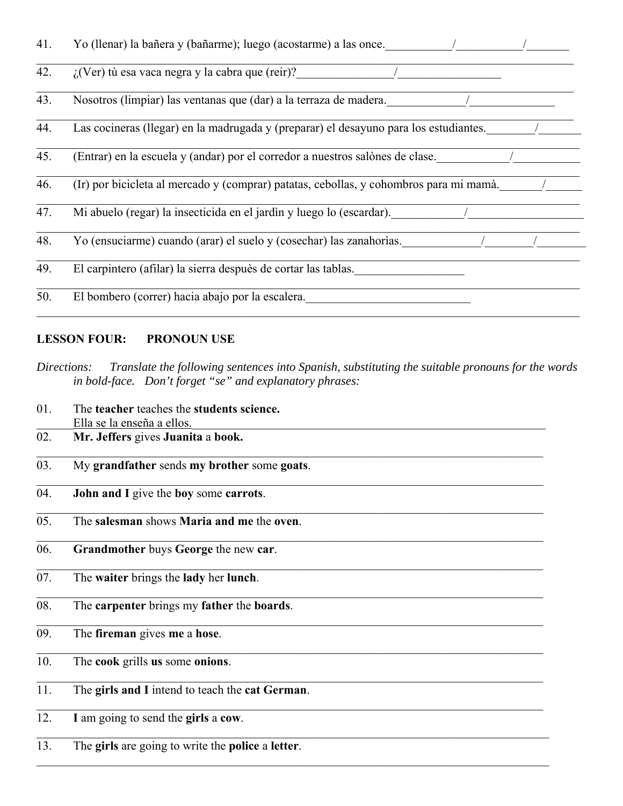| 41. | Yo (llenar) la bañera y (bañarme); luego (acostarme) a las once.                       |
|-----|----------------------------------------------------------------------------------------|
| 42. | $\chi$ (Ver) tù esa vaca negra y la cabra que (reir)?                                  |
| 43. | Nosotros (limpiar) las ventanas que (dar) a la terraza de madera.                      |
| 44. | Las cocineras (llegar) en la madrugada y (preparar) el desayuno para los estudiantes.  |
| 45. | (Entrar) en la escuela y (andar) por el corredor a nuestros salònes de clase.          |
| 46. | (Ir) por bicicleta al mercado y (comprar) patatas, cebollas, y cohombros para mi mamà. |
| 47. | Mi abuelo (regar) la insecticida en el jardin y luego lo (escardar).                   |
| 48. | Yo (ensuciarme) cuando (arar) el suelo y (cosechar) las zanahorías.                    |
| 49. | El carpintero (afilar) la sierra despuès de cortar las tablas.                         |
| 50. | El bombero (correr) hacia abajo por la escalera.                                       |

# **LESSON FOUR: PRONOUN USE**

- *Directions: Translate the following sentences into Spanish, substituting the suitable pronouns for the words in bold-face. Don't forget "se" and explanatory phrases:*
- 01. The **teacher** teaches the **students science.** Ella se la enseña a ellos. 02. **Mr. Jeffers** gives **Juanita** a **book.** 03. My **grandfather** sends **my brother** some **goats**. 04. **John and I** give the **boy** some **carrots**. 05. The **salesman** shows **Maria and me** the **oven**. 06. **Grandmother** buys **George** the new **car**.  $\mathcal{L}_\mathcal{L} = \mathcal{L}_\mathcal{L} = \mathcal{L}_\mathcal{L} = \mathcal{L}_\mathcal{L} = \mathcal{L}_\mathcal{L} = \mathcal{L}_\mathcal{L} = \mathcal{L}_\mathcal{L} = \mathcal{L}_\mathcal{L} = \mathcal{L}_\mathcal{L} = \mathcal{L}_\mathcal{L} = \mathcal{L}_\mathcal{L} = \mathcal{L}_\mathcal{L} = \mathcal{L}_\mathcal{L} = \mathcal{L}_\mathcal{L} = \mathcal{L}_\mathcal{L} = \mathcal{L}_\mathcal{L} = \mathcal{L}_\mathcal{L}$ 07. The **waiter** brings the **lady** her **lunch**. 08. The **carpenter** brings my **father** the **boards**. 09. The **fireman** gives **me** a **hose**. 10. The **cook** grills **us** some **onions**. 11. The **girls and I** intend to teach the **cat German**.  $\mathcal{L}_\mathcal{L} = \mathcal{L}_\mathcal{L} = \mathcal{L}_\mathcal{L} = \mathcal{L}_\mathcal{L} = \mathcal{L}_\mathcal{L} = \mathcal{L}_\mathcal{L} = \mathcal{L}_\mathcal{L} = \mathcal{L}_\mathcal{L} = \mathcal{L}_\mathcal{L} = \mathcal{L}_\mathcal{L} = \mathcal{L}_\mathcal{L} = \mathcal{L}_\mathcal{L} = \mathcal{L}_\mathcal{L} = \mathcal{L}_\mathcal{L} = \mathcal{L}_\mathcal{L} = \mathcal{L}_\mathcal{L} = \mathcal{L}_\mathcal{L}$ 12. **I** am going to send the **girls** a **cow**.
- 13. The **girls** are going to write the **police** a **letter**.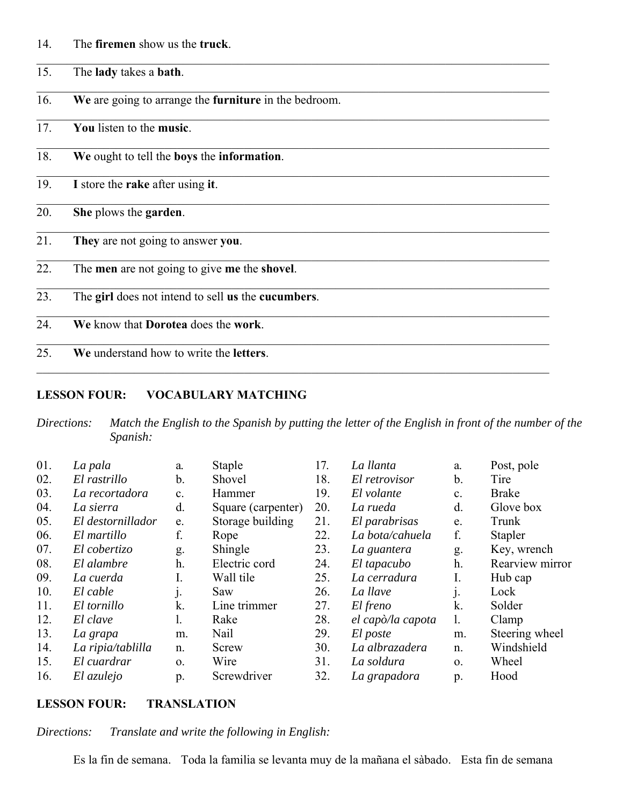| 14. | The firemen show us the truck. |
|-----|--------------------------------|
|-----|--------------------------------|

15. The **lady** takes a **bath**.

16. **We** are going to arrange the **furniture** in the bedroom.

17. **You** listen to the **music**.

18. **We** ought to tell the **boys** the **information**.

19. **I** store the **rake** after using **it**.

20. **She** plows the **garden**.

21. **They** are not going to answer **you**.

- 22. The **men** are not going to give **me** the **shovel**.
- 23. The **girl** does not intend to sell **us** the **cucumbers**.
- 24. **We** know that **Dorotea** does the **work**.
- 25. **We** understand how to write the **letters**.

# **LESSON FOUR: VOCABULARY MATCHING**

*Directions: Match the English to the Spanish by putting the letter of the English in front of the number of the Spanish:*

| 01. | La pala           | a.             | Staple             | 17. | La llanta         | a.         | Post, pole      |
|-----|-------------------|----------------|--------------------|-----|-------------------|------------|-----------------|
| 02. | El rastrillo      | b.             | Shovel             | 18. | El retrovisor     | b.         | Tire            |
| 03. | La recortadora    | $\mathbf{c}$ . | Hammer             | 19. | El volante        | c.         | <b>Brake</b>    |
| 04. | La sierra         | d.             | Square (carpenter) | 20. | La rueda          | d.         | Glove box       |
| 05. | El destornillador | e.             | Storage building   | 21. | El parabrisas     | e.         | Trunk           |
| 06. | El martillo       | f.             | Rope               | 22. | La bota/cahuela   | f.         | Stapler         |
| 07. | El cobertizo      | g.             | Shingle            | 23. | La guantera       | g.         | Key, wrench     |
| 08. | El alambre        | h.             | Electric cord      | 24. | El tapacubo       | h.         | Rearview mirror |
| 09. | La cuerda         | I.             | Wall tile          | 25. | La cerradura      | I.         | Hub cap         |
| 10. | El cable          |                | Saw                | 26. | La llave          | j.         | Lock            |
| 11. | El tornillo       | k.             | Line trimmer       | 27. | El freno          | k.         | Solder          |
| 12. | El clave          | 1.             | Rake               | 28. | el capò/la capota | 1.         | Clamp           |
| 13. | La grapa          | m.             | Nail               | 29. | El poste          | m.         | Steering wheel  |
| 14. | La ripia/tablilla | n.             | Screw              | 30. | La albrazadera    | n.         | Windshield      |
| 15. | El cuardrar       | $\mathbf{O}$ . | Wire               | 31. | La soldura        | $\Omega$ . | Wheel           |
| 16. | El azulejo        | p.             | Screwdriver        | 32. | La grapadora      | p.         | Hood            |

### **LESSON FOUR: TRANSLATION**

*Directions: Translate and write the following in English:*

Es la fin de semana. Toda la familia se levanta muy de la mañana el sàbado. Esta fin de semana